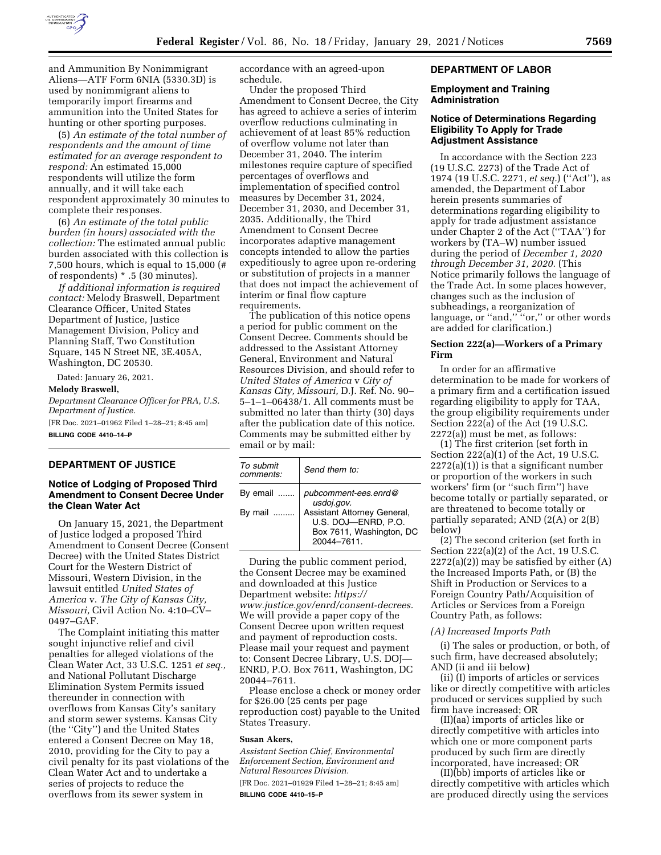

and Ammunition By Nonimmigrant Aliens—ATF Form 6NIA (5330.3D) is used by nonimmigrant aliens to temporarily import firearms and ammunition into the United States for hunting or other sporting purposes.

(5) *An estimate of the total number of respondents and the amount of time estimated for an average respondent to respond:* An estimated 15,000 respondents will utilize the form annually, and it will take each respondent approximately 30 minutes to complete their responses.

(6) *An estimate of the total public burden (in hours) associated with the collection:* The estimated annual public burden associated with this collection is 7,500 hours, which is equal to 15,000 (# of respondents) \* .5 (30 minutes).

*If additional information is required contact:* Melody Braswell, Department Clearance Officer, United States Department of Justice, Justice Management Division, Policy and Planning Staff, Two Constitution Square, 145 N Street NE, 3E.405A, Washington, DC 20530.

Dated: January 26, 2021. **Melody Braswell,**  *Department Clearance Officer for PRA, U.S. Department of Justice.*  [FR Doc. 2021–01962 Filed 1–28–21; 8:45 am]

**BILLING CODE 4410–14–P** 

# **DEPARTMENT OF JUSTICE**

### **Notice of Lodging of Proposed Third Amendment to Consent Decree Under the Clean Water Act**

On January 15, 2021, the Department of Justice lodged a proposed Third Amendment to Consent Decree (Consent Decree) with the United States District Court for the Western District of Missouri, Western Division, in the lawsuit entitled *United States of America* v. *The City of Kansas City, Missouri,* Civil Action No. 4:10–CV– 0497–GAF.

The Complaint initiating this matter sought injunctive relief and civil penalties for alleged violations of the Clean Water Act, 33 U.S.C. 1251 *et seq.,*  and National Pollutant Discharge Elimination System Permits issued thereunder in connection with overflows from Kansas City's sanitary and storm sewer systems. Kansas City (the ''City'') and the United States entered a Consent Decree on May 18, 2010, providing for the City to pay a civil penalty for its past violations of the Clean Water Act and to undertake a series of projects to reduce the overflows from its sewer system in

accordance with an agreed-upon schedule.

Under the proposed Third Amendment to Consent Decree, the City has agreed to achieve a series of interim overflow reductions culminating in achievement of at least 85% reduction of overflow volume not later than December 31, 2040. The interim milestones require capture of specified percentages of overflows and implementation of specified control measures by December 31, 2024, December 31, 2030, and December 31, 2035. Additionally, the Third Amendment to Consent Decree incorporates adaptive management concepts intended to allow the parties expeditiously to agree upon re-ordering or substitution of projects in a manner that does not impact the achievement of interim or final flow capture requirements.

The publication of this notice opens a period for public comment on the Consent Decree. Comments should be addressed to the Assistant Attorney General, Environment and Natural Resources Division, and should refer to *United States of America* v *City of Kansas City, Missouri,* D.J. Ref. No. 90– 5–1–1–06438/1. All comments must be submitted no later than thirty (30) days after the publication date of this notice. Comments may be submitted either by email or by mail:

| To submit<br>comments: | Send them to:                                                                                 |
|------------------------|-----------------------------------------------------------------------------------------------|
| By email               | pubcomment-ees.enrd@<br>usdoj.gov.                                                            |
| By mail                | Assistant Attorney General,<br>U.S. DOJ-ENRD, P.O.<br>Box 7611, Washington, DC<br>20044-7611. |

During the public comment period, the Consent Decree may be examined and downloaded at this Justice Department website: *[https://](https://www.justice.gov/enrd/consent-decrees) [www.justice.gov/enrd/consent-decrees.](https://www.justice.gov/enrd/consent-decrees)*  We will provide a paper copy of the Consent Decree upon written request and payment of reproduction costs. Please mail your request and payment to: Consent Decree Library, U.S. DOJ— ENRD, P.O. Box 7611, Washington, DC 20044–7611.

Please enclose a check or money order for \$26.00 (25 cents per page reproduction cost) payable to the United States Treasury.

#### **Susan Akers,**

*Assistant Section Chief, Environmental Enforcement Section, Environment and Natural Resources Division.* 

[FR Doc. 2021–01929 Filed 1–28–21; 8:45 am] **BILLING CODE 4410–15–P** 

### **DEPARTMENT OF LABOR**

#### **Employment and Training Administration**

### **Notice of Determinations Regarding Eligibility To Apply for Trade Adjustment Assistance**

In accordance with the Section 223 (19 U.S.C. 2273) of the Trade Act of 1974 (19 U.S.C. 2271, *et seq.*) (''Act''), as amended, the Department of Labor herein presents summaries of determinations regarding eligibility to apply for trade adjustment assistance under Chapter 2 of the Act (''TAA'') for workers by (TA–W) number issued during the period of *December 1, 2020 through December 31, 2020.* (This Notice primarily follows the language of the Trade Act. In some places however, changes such as the inclusion of subheadings, a reorganization of language, or "and," "or," or other words are added for clarification.)

### **Section 222(a)—Workers of a Primary Firm**

In order for an affirmative determination to be made for workers of a primary firm and a certification issued regarding eligibility to apply for TAA, the group eligibility requirements under Section 222(a) of the Act (19 U.S.C. 2272(a)) must be met, as follows:

(1) The first criterion (set forth in Section 222(a)(1) of the Act, 19 U.S.C. 2272(a)(1)) is that a significant number or proportion of the workers in such workers' firm (or ''such firm'') have become totally or partially separated, or are threatened to become totally or partially separated; AND (2(A) or 2(B) below)

(2) The second criterion (set forth in Section 222(a)(2) of the Act, 19 U.S.C.  $2272(a)(2)$  may be satisfied by either  $(A)$ the Increased Imports Path, or (B) the Shift in Production or Services to a Foreign Country Path/Acquisition of Articles or Services from a Foreign Country Path, as follows:

#### *(A) Increased Imports Path*

(i) The sales or production, or both, of such firm, have decreased absolutely; AND (ii and iii below)

(ii) (I) imports of articles or services like or directly competitive with articles produced or services supplied by such firm have increased; OR

(II)(aa) imports of articles like or directly competitive with articles into which one or more component parts produced by such firm are directly incorporated, have increased; OR

(II)(bb) imports of articles like or directly competitive with articles which are produced directly using the services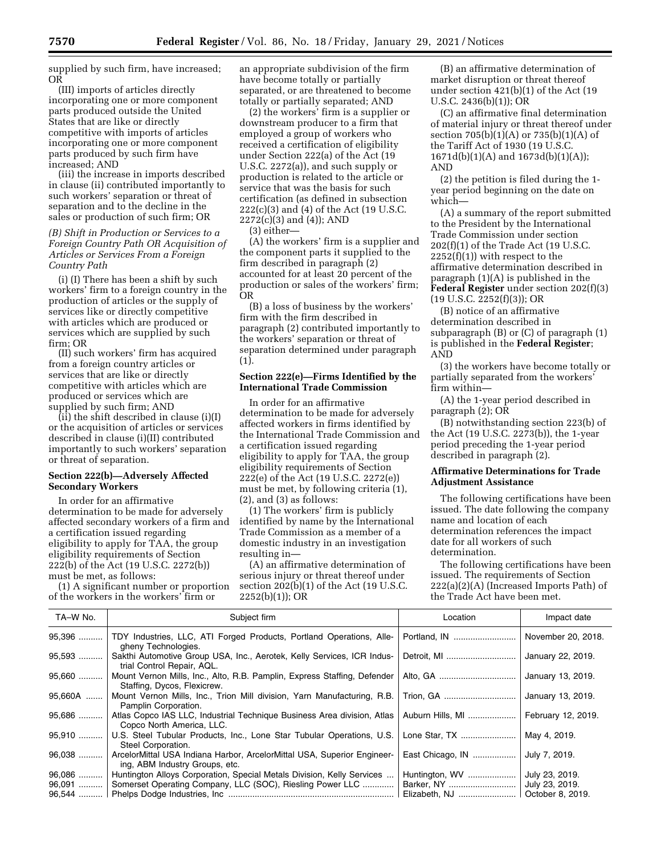supplied by such firm, have increased; OR

(III) imports of articles directly incorporating one or more component parts produced outside the United States that are like or directly competitive with imports of articles incorporating one or more component parts produced by such firm have increased; AND

(iii) the increase in imports described in clause (ii) contributed importantly to such workers' separation or threat of separation and to the decline in the sales or production of such firm; OR

*(B) Shift in Production or Services to a Foreign Country Path OR Acquisition of Articles or Services From a Foreign Country Path* 

(i) (I) There has been a shift by such workers' firm to a foreign country in the production of articles or the supply of services like or directly competitive with articles which are produced or services which are supplied by such firm; OR

(II) such workers' firm has acquired from a foreign country articles or services that are like or directly competitive with articles which are produced or services which are supplied by such firm; AND

(ii) the shift described in clause (i)(I) or the acquisition of articles or services described in clause (i)(II) contributed importantly to such workers' separation or threat of separation.

## **Section 222(b)—Adversely Affected Secondary Workers**

In order for an affirmative determination to be made for adversely affected secondary workers of a firm and a certification issued regarding eligibility to apply for TAA, the group eligibility requirements of Section 222(b) of the Act (19 U.S.C. 2272(b)) must be met, as follows:

(1) A significant number or proportion of the workers in the workers' firm or

an appropriate subdivision of the firm have become totally or partially separated, or are threatened to become totally or partially separated; AND

(2) the workers' firm is a supplier or downstream producer to a firm that employed a group of workers who received a certification of eligibility under Section 222(a) of the Act (19 U.S.C. 2272(a)), and such supply or production is related to the article or service that was the basis for such certification (as defined in subsection 222(c)(3) and (4) of the Act (19 U.S.C. 2272(c)(3) and (4)); AND

(3) either—

(A) the workers' firm is a supplier and the component parts it supplied to the firm described in paragraph (2) accounted for at least 20 percent of the production or sales of the workers' firm; OR

(B) a loss of business by the workers' firm with the firm described in paragraph (2) contributed importantly to the workers' separation or threat of separation determined under paragraph (1).

### **Section 222(e)—Firms Identified by the International Trade Commission**

In order for an affirmative determination to be made for adversely affected workers in firms identified by the International Trade Commission and a certification issued regarding eligibility to apply for TAA, the group eligibility requirements of Section 222(e) of the Act (19 U.S.C. 2272(e)) must be met, by following criteria (1), (2), and (3) as follows:

(1) The workers' firm is publicly identified by name by the International Trade Commission as a member of a domestic industry in an investigation resulting in—

(A) an affirmative determination of serious injury or threat thereof under section 202(b)(1) of the Act (19 U.S.C. 2252(b)(1)); OR

(B) an affirmative determination of market disruption or threat thereof under section 421(b)(1) of the Act (19 U.S.C. 2436(b)(1)); OR

(C) an affirmative final determination of material injury or threat thereof under section  $705(b)(1)(A)$  or  $735(b)(1)(A)$  of the Tariff Act of 1930 (19 U.S.C. 1671d(b)(1)(A) and 1673d(b)(1)(A)); AND

(2) the petition is filed during the 1 year period beginning on the date on which—

(A) a summary of the report submitted to the President by the International Trade Commission under section 202(f)(1) of the Trade Act (19 U.S.C.  $2252(f)(1)$ ) with respect to the affirmative determination described in paragraph (1)(A) is published in the **Federal Register** under section 202(f)(3) (19 U.S.C. 2252(f)(3)); OR

(B) notice of an affirmative determination described in subparagraph (B) or (C) of paragraph (1) is published in the **Federal Register**; AND

(3) the workers have become totally or partially separated from the workers' firm within—

(A) the 1-year period described in paragraph (2); OR

(B) notwithstanding section 223(b) of the Act (19 U.S.C. 2273(b)), the 1-year period preceding the 1-year period described in paragraph (2).

## **Affirmative Determinations for Trade Adjustment Assistance**

The following certifications have been issued. The date following the company name and location of each determination references the impact date for all workers of such determination.

The following certifications have been issued. The requirements of Section 222(a)(2)(A) (Increased Imports Path) of the Trade Act have been met.

| TA-W No. | Subject firm                                                                                              | Location         | Impact date        |
|----------|-----------------------------------------------------------------------------------------------------------|------------------|--------------------|
| 95,396   | TDY Industries, LLC, ATI Forged Products, Portland Operations, Alle-<br>gheny Technologies.               |                  | November 20, 2018. |
| 95,593   | Sakthi Automotive Group USA, Inc., Aerotek, Kelly Services, ICR Indus-<br>trial Control Repair, AQL.      | Detroit, MI      | January 22, 2019.  |
| 95,660   | Mount Vernon Mills, Inc., Alto, R.B. Pamplin, Express Staffing, Defender<br>Staffing, Dycos, Flexicrew.   |                  | January 13, 2019.  |
| 95,660A  | Mount Vernon Mills, Inc., Trion Mill division, Yarn Manufacturing, R.B.<br>Pamplin Corporation.           | Trion, GA        | January 13, 2019.  |
| 95,686   | Atlas Copco IAS LLC, Industrial Technique Business Area division, Atlas<br>Copco North America, LLC.      | Auburn Hills, MI | February 12, 2019. |
| 95,910   | U.S. Steel Tubular Products, Inc., Lone Star Tubular Operations, U.S.<br>Steel Corporation.               | Lone Star, TX    | May 4, 2019.       |
| 96,038   | ArcelorMittal USA Indiana Harbor, ArcelorMittal USA, Superior Engineer-<br>ing, ABM Industry Groups, etc. | East Chicago, IN | July 7, 2019.      |
| 96,086   | Huntington Alloys Corporation, Special Metals Division, Kelly Services                                    | Huntington, WV   | July 23, 2019.     |
| 96,091   | Somerset Operating Company, LLC (SOC), Riesling Power LLC                                                 | Barker, NY       | July 23, 2019.     |
| 96,544   |                                                                                                           |                  | October 8, 2019.   |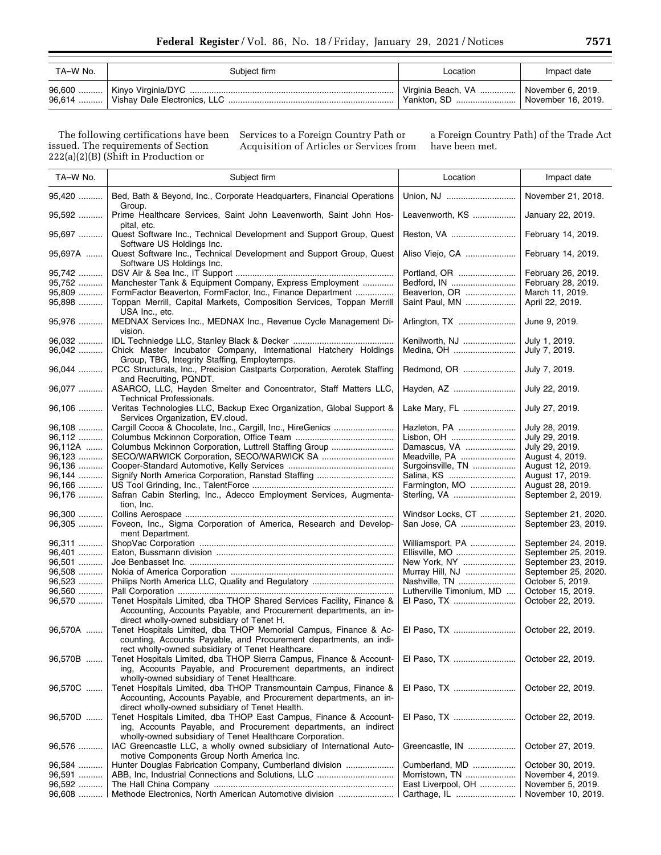| TA–W No. | Subiect firm | Location                                               | Impact date        |
|----------|--------------|--------------------------------------------------------|--------------------|
|          |              | Virginia Beach, VA    November 6, 2019.<br>Yankton, SD | November 16, 2019. |

The following certifications have been issued. The requirements of Section  $222(a)(2)(B)$  (Shift in Production or

Services to a Foreign Country Path or Acquisition of Articles or Services from a Foreign Country Path) of the Trade Act have been met.

| TA-W No. | Subject firm                                                                                                         | Location                 | Impact date         |
|----------|----------------------------------------------------------------------------------------------------------------------|--------------------------|---------------------|
| 95,420   | Bed, Bath & Beyond, Inc., Corporate Headquarters, Financial Operations<br>Group.                                     | Union, NJ                | November 21, 2018.  |
| 95,592   | Prime Healthcare Services, Saint John Leavenworth, Saint John Hos-<br>pital, etc.                                    | Leavenworth, KS          | January 22, 2019.   |
| 95,697   | Quest Software Inc., Technical Development and Support Group, Quest<br>Software US Holdings Inc.                     | Reston, VA               | February 14, 2019.  |
| 95,697A  | Quest Software Inc., Technical Development and Support Group, Quest<br>Software US Holdings Inc.                     | Aliso Viejo, CA          | February 14, 2019.  |
| 95,742   |                                                                                                                      | Portland, OR             | February 26, 2019.  |
| 95,752   | Manchester Tank & Equipment Company, Express Employment                                                              | Bedford. IN              | February 28, 2019.  |
| 95,809   | FormFactor Beaverton, FormFactor, Inc., Finance Department                                                           | Beaverton, OR            | March 11, 2019.     |
| 95,898   | Toppan Merrill, Capital Markets, Composition Services, Toppan Merrill<br>USA Inc., etc.                              | Saint Paul, MN           | April 22, 2019.     |
| 95,976   | MEDNAX Services Inc., MEDNAX Inc., Revenue Cycle Management Di-<br>vision.                                           | Arlington, TX            | June 9, 2019.       |
| 96,032   |                                                                                                                      | Kenilworth, NJ           | July 1, 2019.       |
| 96,042   | Chick Master Incubator Company, International Hatchery Holdings<br>Group, TBG, Integrity Staffing, Employtemps.      | Medina, OH               | July 7, 2019.       |
| 96,044   | PCC Structurals, Inc., Precision Castparts Corporation, Aerotek Staffing<br>and Recruiting, PQNDT.                   | Redmond, OR              | July 7, 2019.       |
| 96,077   | ASARCO, LLC, Hayden Smelter and Concentrator, Staff Matters LLC,<br><b>Technical Professionals.</b>                  | Hayden, AZ               | July 22, 2019.      |
| 96,106   | Veritas Technologies LLC, Backup Exec Organization, Global Support &<br>Services Organization, EV.cloud.             | Lake Mary, FL            | July 27, 2019.      |
| 96,108   |                                                                                                                      | Hazleton, PA             | July 28, 2019.      |
| 96,112   |                                                                                                                      | Lisbon, OH               | July 29, 2019.      |
| 96,112A  | Columbus Mckinnon Corporation, Luttrell Staffing Group                                                               | Damascus, VA             | July 29, 2019.      |
| 96,123   |                                                                                                                      | Meadville, PA            | August 4, 2019.     |
| 96,136   |                                                                                                                      | Surgoinsville, TN        | August 12, 2019.    |
| 96,144   |                                                                                                                      | Salina, KS               | August 17, 2019.    |
| 96,166   |                                                                                                                      | Farmington, MO           | August 28, 2019.    |
| 96,176   | Safran Cabin Sterling, Inc., Adecco Employment Services, Augmenta-<br>tion, Inc.                                     | Sterling, VA             | September 2, 2019.  |
| 96,300   |                                                                                                                      | Windsor Locks, CT        | September 21, 2020. |
| 96,305   | Foveon, Inc., Sigma Corporation of America, Research and Develop-<br>ment Department.                                | San Jose, CA             | September 23, 2019. |
| 96,311   |                                                                                                                      | Williamsport, PA         | September 24, 2019. |
| 96,401   |                                                                                                                      | Ellisville, MO           | September 25, 2019. |
| 96,501   |                                                                                                                      | New York, NY             | September 23, 2019. |
| 96,508   |                                                                                                                      | Murray Hill, NJ          | September 25, 2020. |
| 96,523   |                                                                                                                      | Nashville, TN            | October 5, 2019.    |
| 96,560   |                                                                                                                      | Lutherville Timonium, MD | October 15, 2019.   |
| 96,570   | Tenet Hospitals Limited, dba THOP Shared Services Facility, Finance &                                                | El Paso, TX              | October 22, 2019.   |
|          | Accounting, Accounts Payable, and Procurement departments, an in-<br>direct wholly-owned subsidiary of Tenet H.      |                          |                     |
| 96,570A  | Tenet Hospitals Limited, dba THOP Memorial Campus, Finance & Ac-                                                     | El Paso, TX              | October 22, 2019.   |
|          | counting, Accounts Payable, and Procurement departments, an indi-                                                    |                          |                     |
|          | rect wholly-owned subsidiary of Tenet Healthcare.                                                                    |                          |                     |
| 96,570B  | Tenet Hospitals Limited, dba THOP Sierra Campus, Finance & Account-                                                  | El Paso, TX              | October 22, 2019.   |
|          | ing, Accounts Payable, and Procurement departments, an indirect                                                      |                          |                     |
|          | wholly-owned subsidiary of Tenet Healthcare.                                                                         |                          |                     |
| 96,570C  | Tenet Hospitals Limited, dba THOP Transmountain Campus, Finance &                                                    | El Paso, TX              | October 22, 2019.   |
|          | Accounting, Accounts Payable, and Procurement departments, an in-<br>direct wholly-owned subsidiary of Tenet Health. |                          |                     |
| 96,570D  | Tenet Hospitals Limited, dba THOP East Campus, Finance & Account-                                                    | El Paso. TX              | October 22, 2019.   |
|          | ing, Accounts Payable, and Procurement departments, an indirect                                                      |                          |                     |
|          | wholly-owned subsidiary of Tenet Healthcare Corporation.                                                             |                          |                     |
| 96,576   | IAC Greencastle LLC, a wholly owned subsidiary of International Auto-                                                | Greencastle, IN          | October 27, 2019.   |
|          | motive Components Group North America Inc.                                                                           |                          |                     |
| 96,584   | Hunter Douglas Fabrication Company, Cumberland division                                                              | Cumberland, MD           | October 30, 2019.   |
| 96,591   |                                                                                                                      | Morristown, TN           | November 4, 2019.   |
| 96,592   |                                                                                                                      | East Liverpool, OH       | November 5, 2019.   |
| 96,608   | Methode Electronics, North American Automotive division                                                              |                          | November 10, 2019.  |
|          |                                                                                                                      |                          |                     |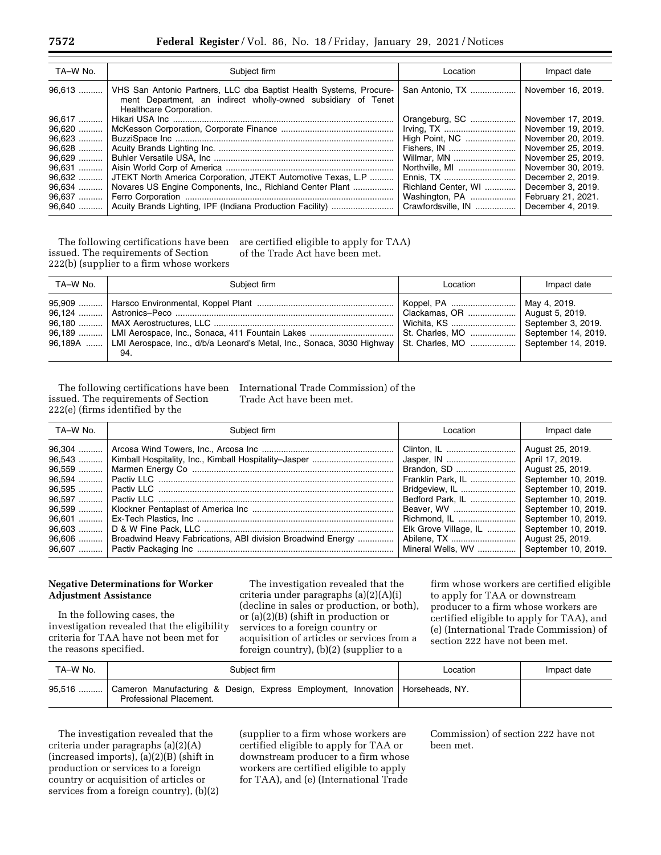| TA-W No. | Subject firm                                                                                                                                                   | Location            | Impact date        |
|----------|----------------------------------------------------------------------------------------------------------------------------------------------------------------|---------------------|--------------------|
| $96,613$ | VHS San Antonio Partners, LLC dba Baptist Health Systems, Procure-<br>ment Department, an indirect wholly-owned subsidiary of Tenet<br>Healthcare Corporation. | San Antonio, TX     | November 16, 2019. |
| 96,617   |                                                                                                                                                                | Orangeburg, SC      | November 17, 2019. |
| 96,620   |                                                                                                                                                                |                     | November 19, 2019. |
| 96,623   |                                                                                                                                                                | High Point, NC      | November 20, 2019. |
| 96.628   |                                                                                                                                                                | Fishers, IN         | November 25, 2019. |
| 96,629   |                                                                                                                                                                | Willmar, MN         | November 25, 2019. |
| 96.631   |                                                                                                                                                                | Northville, MI      | November 30, 2019. |
| 96.632   | JTEKT North America Corporation, JTEKT Automotive Texas, L.P                                                                                                   | Ennis, TX           | December 2, 2019.  |
| $96,634$ | Novares US Engine Components, Inc., Richland Center Plant                                                                                                      | Richland Center, WI | December 3, 2019.  |
|          |                                                                                                                                                                | Washington, PA      | February 21, 2021. |
| 96,640   |                                                                                                                                                                | Crawfordsville, IN  | December 4, 2019.  |

The following certifications have been issued. The requirements of Section 222(b) (supplier to a firm whose workers are certified eligible to apply for TAA) of the Trade Act have been met.

| TA-W No. | Subiect firm                                                                                                                                                                                                                             | Location                          | Impact date |
|----------|------------------------------------------------------------------------------------------------------------------------------------------------------------------------------------------------------------------------------------------|-----------------------------------|-------------|
|          | 96.189    LMI Aerospace, Inc., Sonaca, 411 Fountain Lakes    St. Charles, MO    September 14, 2019.<br>96,189A    LMI Aerospace, Inc., d/b/a Leonard's Metal, Inc., Sonaca, 3030 Highway   St. Charles, MO    September 14, 2019.<br>94. | Wichita, KS    September 3, 2019. |             |

The following certifications have been issued. The requirements of Section 222(e) (firms identified by the

International Trade Commission) of the Trade Act have been met.

| TA-W No. | Subject firm                                                        | Location.             | Impact date         |
|----------|---------------------------------------------------------------------|-----------------------|---------------------|
|          |                                                                     | Clinton. IL           | August 25, 2019.    |
|          |                                                                     | Jasper, IN            | April 17, 2019.     |
|          |                                                                     | Brandon, SD           | August 25, 2019.    |
|          |                                                                     | Franklin Park, IL     | September 10, 2019. |
|          |                                                                     | Bridgeview, IL        | September 10, 2019. |
|          |                                                                     | Bedford Park, IL      | September 10, 2019. |
|          |                                                                     | Beaver, WV            | September 10, 2019. |
|          |                                                                     | Richmond, IL          | September 10, 2019. |
|          |                                                                     | Elk Grove Village, IL | September 10, 2019. |
|          | 96,606  Broadwind Heavy Fabrications, ABI division Broadwind Energy |                       | August 25, 2019.    |
|          |                                                                     | Mineral Wells, WV     | September 10, 2019. |

### **Negative Determinations for Worker Adjustment Assistance**

In the following cases, the investigation revealed that the eligibility criteria for TAA have not been met for the reasons specified.

The investigation revealed that the criteria under paragraphs (a)(2)(A)(i) (decline in sales or production, or both), or (a)(2)(B) (shift in production or services to a foreign country or acquisition of articles or services from a foreign country), (b)(2) (supplier to a

firm whose workers are certified eligible to apply for TAA or downstream producer to a firm whose workers are certified eligible to apply for TAA), and (e) (International Trade Commission) of section 222 have not been met.

| TA-W No. | Subject firm                                                                                                | Location | Impact date |
|----------|-------------------------------------------------------------------------------------------------------------|----------|-------------|
| $95,516$ | Cameron Manufacturing & Design, Express Employment, Innovation   Horseheads, NY.<br>Professional Placement. |          |             |

The investigation revealed that the criteria under paragraphs (a)(2)(A) (increased imports), (a)(2)(B) (shift in production or services to a foreign country or acquisition of articles or services from a foreign country), (b)(2) (supplier to a firm whose workers are certified eligible to apply for TAA or downstream producer to a firm whose workers are certified eligible to apply for TAA), and (e) (International Trade

Commission) of section 222 have not been met.